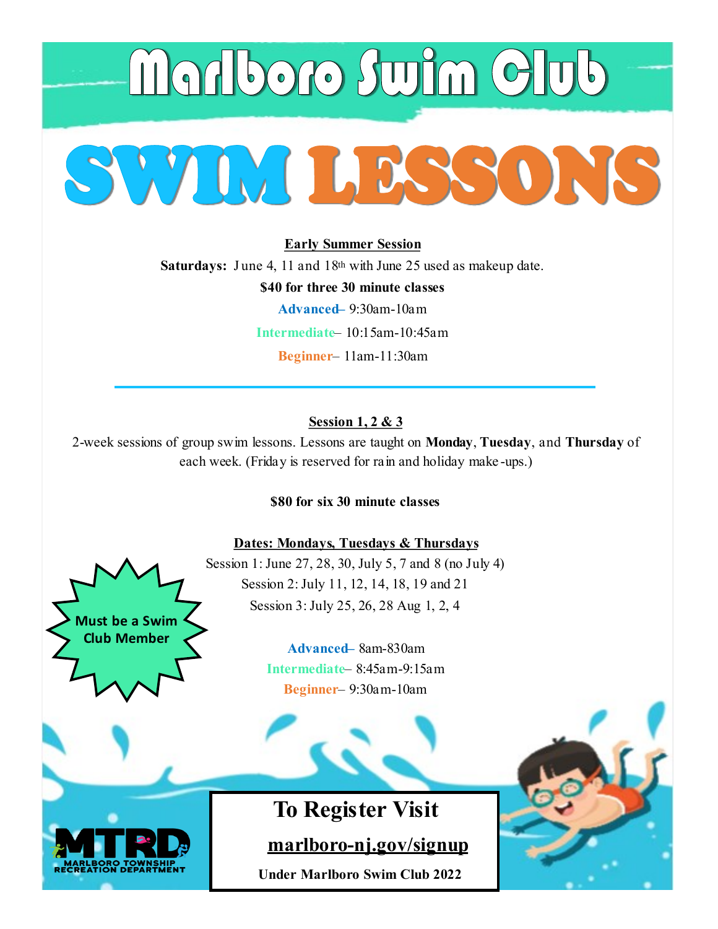

**Early Summer Session Saturdays:** June 4, 11 and 18<sup>th</sup> with June 25 used as makeup date. **\$40 for three 30 minute classes Advanced–** 9:30am-10am **Intermediate**– 10:15am-10:45am **Beginner**– 11am-11:30am

# **Session 1, 2 & 3**

2-week sessions of group swim lessons. Lessons are taught on **Monday**, **Tuesday**, and **Thursday** of each week. (Friday is reserved for rain and holiday make -ups.)

**\$80 for six 30 minute classes** 

## **Dates: Mondays, Tuesdays & Thursdays**

Session 1: June 27, 28, 30, July 5, 7 and 8 (no July 4) Session 2: July 11, 12, 14, 18, 19 and 21 Session 3: July 25, 26, 28 Aug 1, 2, 4

> **Advanced–** 8am-830am **Intermediate**– 8:45am-9:15am **Beginner**– 9:30am-10am



**Must be a Swim Club Member**

 **marlboro-[nj.gov/signup](https://register.communitypass.net/marlboro/)**

**Under Marlboro Swim Club 2022**